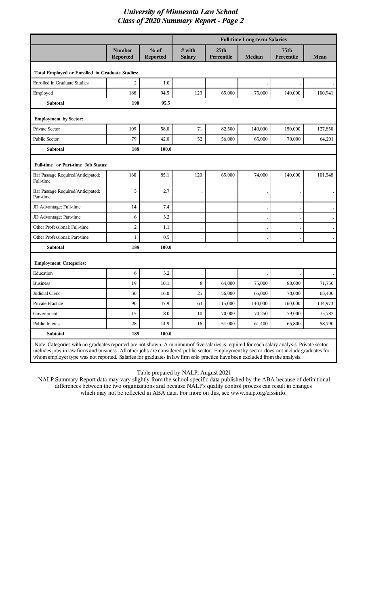|                                                                                                                                           |                           |                           | <b>Full-time Long-term Salaries</b> |                                |               |                    |         |  |
|-------------------------------------------------------------------------------------------------------------------------------------------|---------------------------|---------------------------|-------------------------------------|--------------------------------|---------------|--------------------|---------|--|
|                                                                                                                                           | <b>Number</b><br>Reported | $%$ of<br><b>Reported</b> | # with<br><b>Salary</b>             | 25 <sub>th</sub><br>Percentile | <b>Median</b> | 75th<br>Percentile | Mean    |  |
| Total Employed or Enrolled in Graduate Studies:                                                                                           |                           |                           |                                     |                                |               |                    |         |  |
| <b>Enrolled in Graduate Studies</b>                                                                                                       | $\overline{c}$            | 1.0                       |                                     |                                |               |                    |         |  |
| Employed                                                                                                                                  | 188                       | 94.5                      | 123                                 | 65,000                         | 75,000        | 140,000            | 100,941 |  |
| <b>Subtotal</b>                                                                                                                           | 190                       | 95.5                      |                                     |                                |               |                    |         |  |
| <b>Employment by Sector:</b>                                                                                                              |                           |                           |                                     |                                |               |                    |         |  |
| Private Sector                                                                                                                            | 109                       | 58.0                      | 71                                  | 82,500                         | 140,000       | 150,000            | 127,850 |  |
| Public Sector                                                                                                                             | 79                        | 42.0                      | 52                                  | 56,000                         | 65,000        | 70,000             | 64,201  |  |
| <b>Subtotal</b>                                                                                                                           | 188                       | 100.0                     |                                     |                                |               |                    |         |  |
| Full-time or Part-time Job Status:                                                                                                        |                           |                           |                                     |                                |               |                    |         |  |
| Bar Passage Required/Anticipated:<br>Full-time                                                                                            | 160                       | 85.1                      | 120                                 | 65,000                         | 74,000        | 140,000            | 101,548 |  |
| Bar Passage Required/Anticipated:<br>Part-time                                                                                            | 5                         | 2.7                       |                                     |                                |               |                    |         |  |
| JD Advantage: Full-time                                                                                                                   | 14                        | 7.4                       |                                     |                                |               |                    |         |  |
| JD Advantage: Part-time                                                                                                                   | 6                         | 3.2                       |                                     |                                |               |                    |         |  |
| Other Professional: Full-time                                                                                                             | $\overline{c}$            | 1.1                       |                                     |                                |               |                    |         |  |
| Other Professional: Part-time                                                                                                             | $\mathbf{1}$              | 0.5                       |                                     |                                |               |                    |         |  |
| <b>Subtotal</b>                                                                                                                           | 188                       | 100.0                     |                                     |                                |               |                    |         |  |
| <b>Employment Categories:</b>                                                                                                             |                           |                           |                                     |                                |               |                    |         |  |
| Education                                                                                                                                 | 6                         | 3.2                       |                                     |                                |               |                    |         |  |
| <b>Business</b>                                                                                                                           | 19                        | 10.1                      | 8                                   | 64,000                         | 75,000        | 80,000             | 71,750  |  |
| Judicial Clerk                                                                                                                            | 30                        | 16.0                      | 25                                  | 56,000                         | 65,000        | 70,000             | 63,400  |  |
| Private Practice                                                                                                                          | 90                        | 47.9                      | 63                                  | 115,000                        | 140,000       | 160,000            | 134,973 |  |
| Government                                                                                                                                | 15                        | $\ \, 8.0$                | 10                                  | 70,000                         | 70,250        | 79,000             | 75,782  |  |
| Public Interest                                                                                                                           | $28\,$                    | 14.9                      | 16                                  | 51,000                         | 61,400        | 65,800             | 58,790  |  |
| Subtotal                                                                                                                                  | 188                       | 100.0                     |                                     |                                |               |                    |         |  |
| Note: Categories with no graduates reported are not shown. A minimumof five salaries is required for each salary analysis. Private sector |                           |                           |                                     |                                |               |                    |         |  |

includes jobs in law firms and business. All other jobs are considered public sector. Employment by sector does not include graduates for whom employer type was not reported. Salaries for graduates in law firm solo practice have been excluded from the analysis.

Table prepared by NALP, August 2021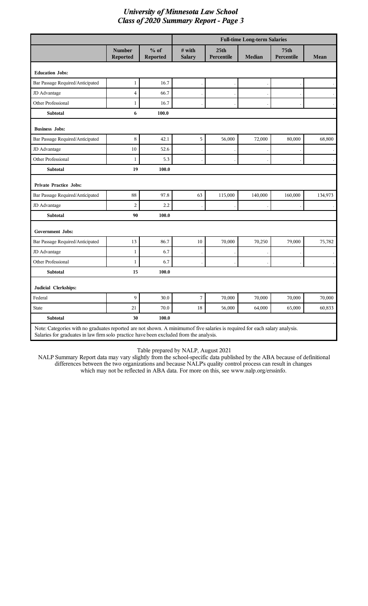|                                                                                                                                                                                                                       |                                  |                           | <b>Full-time Long-term Salaries</b> |                                |               |                           |             |
|-----------------------------------------------------------------------------------------------------------------------------------------------------------------------------------------------------------------------|----------------------------------|---------------------------|-------------------------------------|--------------------------------|---------------|---------------------------|-------------|
|                                                                                                                                                                                                                       | <b>Number</b><br><b>Reported</b> | $%$ of<br><b>Reported</b> | # with<br><b>Salary</b>             | 25 <sub>th</sub><br>Percentile | <b>Median</b> | <b>75th</b><br>Percentile | <b>Mean</b> |
| <b>Education Jobs:</b>                                                                                                                                                                                                |                                  |                           |                                     |                                |               |                           |             |
| Bar Passage Required/Anticipated                                                                                                                                                                                      | $\mathbf{1}$                     | 16.7                      |                                     |                                |               |                           |             |
| JD Advantage                                                                                                                                                                                                          | $\overline{\mathbf{4}}$          | 66.7                      |                                     |                                |               |                           |             |
| Other Professional                                                                                                                                                                                                    | $\mathbf{1}$                     | 16.7                      |                                     |                                |               |                           |             |
| <b>Subtotal</b>                                                                                                                                                                                                       | 6                                | 100.0                     |                                     |                                |               |                           |             |
| <b>Business Jobs:</b>                                                                                                                                                                                                 |                                  |                           |                                     |                                |               |                           |             |
| Bar Passage Required/Anticipated                                                                                                                                                                                      | $\,8\,$                          | 42.1                      | 5                                   | 56,000                         | 72,000        | 80,000                    | 68,800      |
| JD Advantage                                                                                                                                                                                                          | 10                               | 52.6                      |                                     |                                |               |                           |             |
| Other Professional                                                                                                                                                                                                    | $\mathbf{1}$                     | 5.3                       |                                     |                                |               |                           |             |
| <b>Subtotal</b>                                                                                                                                                                                                       | 19                               | 100.0                     |                                     |                                |               |                           |             |
| <b>Private Practice Jobs:</b>                                                                                                                                                                                         |                                  |                           |                                     |                                |               |                           |             |
| Bar Passage Required/Anticipated                                                                                                                                                                                      | 88                               | 97.8                      | 63                                  | 115,000                        | 140,000       | 160,000                   | 134,973     |
| JD Advantage                                                                                                                                                                                                          | $\overline{c}$                   | 2.2                       |                                     |                                |               |                           |             |
| <b>Subtotal</b>                                                                                                                                                                                                       | 90                               | 100.0                     |                                     |                                |               |                           |             |
| <b>Government Jobs:</b>                                                                                                                                                                                               |                                  |                           |                                     |                                |               |                           |             |
| Bar Passage Required/Anticipated                                                                                                                                                                                      | 13                               | 86.7                      | $10\,$                              | 70,000                         | 70,250        | 79,000                    | 75,782      |
| JD Advantage                                                                                                                                                                                                          | $\mathbf{1}$                     | 6.7                       |                                     |                                |               |                           |             |
| Other Professional                                                                                                                                                                                                    | $\mathbf{1}$                     | 6.7                       |                                     |                                |               |                           |             |
| Subtotal                                                                                                                                                                                                              | 15                               | 100.0                     |                                     |                                |               |                           |             |
| Judicial Clerkships:                                                                                                                                                                                                  |                                  |                           |                                     |                                |               |                           |             |
| Federal                                                                                                                                                                                                               | 9                                | 30.0                      | 7                                   | 70,000                         | 70,000        | 70,000                    | 70,000      |
| <b>State</b>                                                                                                                                                                                                          | 21                               | 70.0                      | 18                                  | 56,000                         | 64,000        | 65,000                    | 60,833      |
| <b>Subtotal</b>                                                                                                                                                                                                       | 30                               | 100.0                     |                                     |                                |               |                           |             |
| Note: Categories with no graduates reported are not shown. A minimum of five salaries is required for each salary analysis.<br>Salaries for graduates in law firm solo practice have been excluded from the analysis. |                                  |                           |                                     |                                |               |                           |             |

Table prepared by NALP, August 2021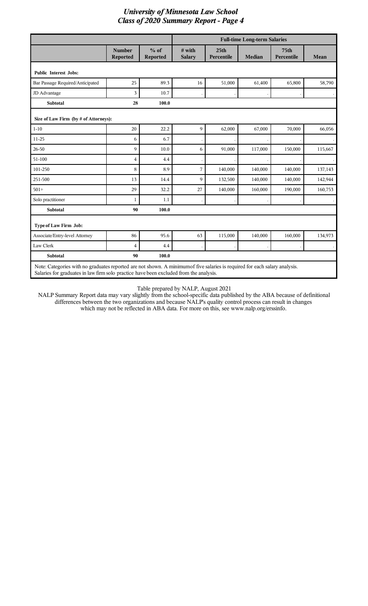|                                       |                                  |                           | <b>Full-time Long-term Salaries</b> |                                |               |                                |         |
|---------------------------------------|----------------------------------|---------------------------|-------------------------------------|--------------------------------|---------------|--------------------------------|---------|
|                                       | <b>Number</b><br><b>Reported</b> | $%$ of<br><b>Reported</b> | $#$ with<br><b>Salary</b>           | 25 <sub>th</sub><br>Percentile | <b>Median</b> | 75 <sub>th</sub><br>Percentile | Mean    |
| <b>Public Interest Jobs:</b>          |                                  |                           |                                     |                                |               |                                |         |
| Bar Passage Required/Anticipated      | 25                               | 89.3                      | 16                                  | 51,000                         | 61,400        | 65,800                         | 58,790  |
| JD Advantage                          | 3                                | 10.7                      |                                     |                                |               |                                |         |
| <b>Subtotal</b>                       | 28                               | 100.0                     |                                     |                                |               |                                |         |
| Size of Law Firm (by # of Attorneys): |                                  |                           |                                     |                                |               |                                |         |
| $1 - 10$                              | 20                               | 22.2                      | $\mathbf{Q}$                        | 62,000                         | 67,000        | 70,000                         | 66,056  |
| 11-25                                 | 6                                | 6.7                       |                                     |                                |               |                                |         |
| 26-50                                 | 9                                | 10.0                      | 6                                   | 91,000                         | 117,000       | 150,000                        | 115,667 |
| 51-100                                | 4                                | 4.4                       |                                     |                                |               |                                |         |
| 101-250                               | 8                                | 8.9                       | 7                                   | 140,000                        | 140,000       | 140,000                        | 137,143 |
| 251-500                               | 13                               | 14.4                      | $\mathbf Q$                         | 132,500                        | 140,000       | 140,000                        | 142,944 |
| $501+$                                | 29                               | 32.2                      | 27                                  | 140,000                        | 160,000       | 190,000                        | 160,753 |
| Solo practitioner                     | 1                                | 1.1                       |                                     |                                |               |                                |         |
| <b>Subtotal</b>                       | 90                               | 100.0                     |                                     |                                |               |                                |         |
| Type of Law Firm Job:                 |                                  |                           |                                     |                                |               |                                |         |
| Associate/Entry-level Attorney        | 86                               | 95.6                      | 63                                  | 115,000                        | 140,000       | 160,000                        | 134,973 |
| Law Clerk                             | 4                                | 4.4                       |                                     |                                |               |                                |         |
| <b>Subtotal</b>                       | 90                               | 100.0                     |                                     |                                |               |                                |         |

Table prepared by NALP, August 2021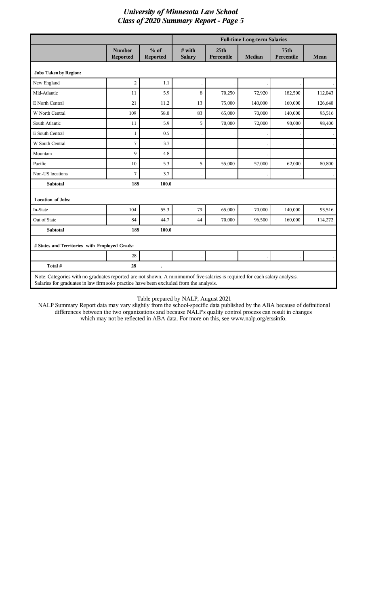|                                                                                                                                                                                                                       |                                  |                           | <b>Full-time Long-term Salaries</b> |                                |               |                                |         |
|-----------------------------------------------------------------------------------------------------------------------------------------------------------------------------------------------------------------------|----------------------------------|---------------------------|-------------------------------------|--------------------------------|---------------|--------------------------------|---------|
|                                                                                                                                                                                                                       | <b>Number</b><br><b>Reported</b> | $%$ of<br><b>Reported</b> | # with<br><b>Salary</b>             | 25 <sub>th</sub><br>Percentile | <b>Median</b> | 75 <sub>th</sub><br>Percentile | Mean    |
| <b>Jobs Taken by Region:</b>                                                                                                                                                                                          |                                  |                           |                                     |                                |               |                                |         |
| New England                                                                                                                                                                                                           | $\overline{2}$                   | 1.1                       |                                     |                                |               |                                |         |
| Mid-Atlantic                                                                                                                                                                                                          | 11                               | 5.9                       | 8                                   | 70,250                         | 72,920        | 182,500                        | 112,043 |
| E North Central                                                                                                                                                                                                       | 21                               | 11.2                      | 13                                  | 75,000                         | 140,000       | 160,000                        | 126,640 |
| W North Central                                                                                                                                                                                                       | 109                              | 58.0                      | 83                                  | 65,000                         | 70,000        | 140,000                        | 93,516  |
| South Atlantic                                                                                                                                                                                                        | 11                               | 5.9                       | 5                                   | 70,000                         | 72,000        | 90,000                         | 98,400  |
| E South Central                                                                                                                                                                                                       | $\mathbf{1}$                     | 0.5                       |                                     |                                |               |                                |         |
| W South Central                                                                                                                                                                                                       | 7                                | 3.7                       |                                     |                                |               |                                |         |
| Mountain                                                                                                                                                                                                              | 9                                | 4.8                       |                                     |                                |               |                                |         |
| Pacific                                                                                                                                                                                                               | 10                               | 5.3                       | 5                                   | 55,000                         | 57,000        | 62,000                         | 80,800  |
| Non-US locations                                                                                                                                                                                                      | 7                                | 3.7                       |                                     |                                |               |                                |         |
| <b>Subtotal</b>                                                                                                                                                                                                       | 188                              | 100.0                     |                                     |                                |               |                                |         |
| <b>Location of Jobs:</b>                                                                                                                                                                                              |                                  |                           |                                     |                                |               |                                |         |
| In-State                                                                                                                                                                                                              | 104                              | 55.3                      | 79                                  | 65,000                         | 70,000        | 140,000                        | 93,516  |
| Out of State                                                                                                                                                                                                          | 84                               | 44.7                      | 44                                  | 70,000                         | 96,500        | 160,000                        | 114,272 |
| <b>Subtotal</b>                                                                                                                                                                                                       | 188                              | 100.0                     |                                     |                                |               |                                |         |
| # States and Territories with Employed Grads:                                                                                                                                                                         |                                  |                           |                                     |                                |               |                                |         |
|                                                                                                                                                                                                                       | 28                               |                           |                                     |                                |               |                                |         |
| Total #                                                                                                                                                                                                               | 28                               |                           |                                     |                                |               |                                |         |
| Note: Categories with no graduates reported are not shown. A minimum of five salaries is required for each salary analysis.<br>Salaries for graduates in law firm solo practice have been excluded from the analysis. |                                  |                           |                                     |                                |               |                                |         |

#### Table prepared by NALP, August 2021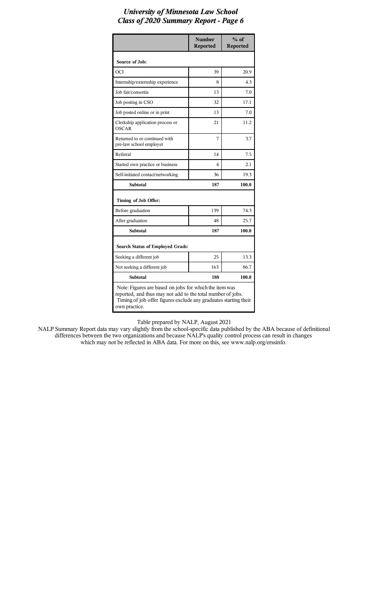|                                                                                                                                                                                                            | <b>Number</b><br><b>Reported</b> | $%$ of<br><b>Reported</b> |  |  |  |
|------------------------------------------------------------------------------------------------------------------------------------------------------------------------------------------------------------|----------------------------------|---------------------------|--|--|--|
| Source of Job:                                                                                                                                                                                             |                                  |                           |  |  |  |
| OCI                                                                                                                                                                                                        | 39                               | 20.9                      |  |  |  |
| Internship/externship experience                                                                                                                                                                           | 8                                | 4.3                       |  |  |  |
| Job fair/consortia                                                                                                                                                                                         | 13                               | 7.0                       |  |  |  |
| Job posting in CSO                                                                                                                                                                                         | 32                               | 17.1                      |  |  |  |
| Job posted online or in print                                                                                                                                                                              | 13                               | 7.0                       |  |  |  |
| Clerkship application process or<br><b>OSCAR</b>                                                                                                                                                           | 21                               | 11.2                      |  |  |  |
| Returned to or continued with<br>pre-law school employer                                                                                                                                                   | 7                                | 3.7                       |  |  |  |
| Referral                                                                                                                                                                                                   | 14                               | 7.5                       |  |  |  |
| Started own practice or business                                                                                                                                                                           | 4                                | 2.1                       |  |  |  |
| Self-initiated contact/networking                                                                                                                                                                          | 36                               | 19.3                      |  |  |  |
| <b>Subtotal</b>                                                                                                                                                                                            | 187                              | 100.0                     |  |  |  |
| Timing of Job Offer:                                                                                                                                                                                       |                                  |                           |  |  |  |
| Before graduation                                                                                                                                                                                          | 139                              | 74.3                      |  |  |  |
| After graduation                                                                                                                                                                                           | 48                               | 25.7                      |  |  |  |
| <b>Subtotal</b>                                                                                                                                                                                            | 187                              | 100.0                     |  |  |  |
| <b>Search Status of Employed Grads:</b>                                                                                                                                                                    |                                  |                           |  |  |  |
| Seeking a different job                                                                                                                                                                                    | 25                               | 13.3                      |  |  |  |
| Not seeking a different job                                                                                                                                                                                | 163                              | 86.7                      |  |  |  |
| <b>Subtotal</b>                                                                                                                                                                                            | 188                              | 100.0                     |  |  |  |
| Note: Figures are based on jobs for which the item was<br>reported, and thus may not add to the total number of jobs.<br>Timing of job offer figures exclude any graduates starting their<br>own practice. |                                  |                           |  |  |  |

Table prepared by NALP, August 2021